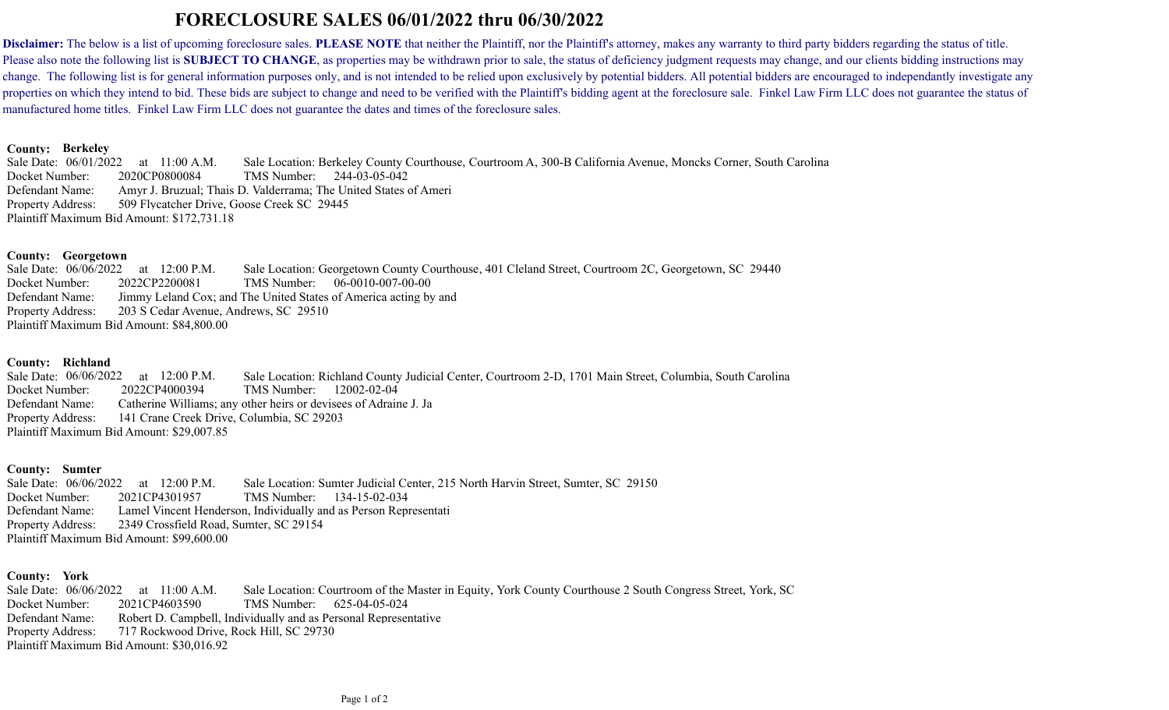# **FORECLOSURE SALES 06/01/2022 thru 06/30/2022**

Disclaimer: The below is a list of upcoming foreclosure sales. PLEASE NOTE that neither the Plaintiff, nor the Plaintiff's attorney, makes any warranty to third party bidders regarding the status of title. Please also note the following list is **SUBJECT TO CHANGE**, as properties may be withdrawn prior to sale, the status of deficiency judgment requests may change, and our clients bidding instructions may change. The following list is for general information purposes only, and is not intended to be relied upon exclusively by potential bidders. All potential bidders are encouraged to independantly investigate any properties on which they intend to bid. These bids are subject to change and need to be verified with the Plaintiff's bidding agent at the foreclosure sale. Finkel Law Firm LLC does not guarantee the status of manufactured home titles. Finkel Law Firm LLC does not guarantee the dates and times of the foreclosure sales.

### **Berkeley County:**

Defendant Name: 244-03-05-042 509 Flycatcher Drive, Goose Creek SC 29445 Sale Date: 06/01/2022 11:00 A.M. Docket Number: 2020CP0800084 Sale Location: Berkeley County Courthouse, Courtroom A, 300-B California Avenue, Moncks Corner, South Carolina Property Address: Plaintiff Maximum Bid Amount: \$172,731.18 Amyr J. Bruzual; Thais D. Valderrama; The United States of Ameri

# **Georgetown County:**

Defendant Name: TMS Number: 06-0010-007-00-00 203 S Cedar Avenue, Andrews, SC 29510 Sale Date: 06/06/2022 12:00 P.M. Docket Number: 2022CP2200081 Sale Location: Georgetown County Courthouse, 401 Cleland Street, Courtroom 2C, Georgetown, SC 29440 Property Address: Plaintiff Maximum Bid Amount: \$84,800.00 Jimmy Leland Cox; and The United States of America acting by and

# **Richland County:**

Defendant Name: 12002-02-04 141 Crane Creek Drive, Columbia, SC 29203 Sale Date: 06/06/2022 12:00 P.M. Docket Number: 2022CP4000394 TMS Number: Sale Location: Richland County Judicial Center, Courtroom 2-D, 1701 Main Street, Columbia, South Carolina Property Address: Plaintiff Maximum Bid Amount: \$29,007.85 Catherine Williams; any other heirs or devisees of Adraine J. Ja

# County: Sumter

Defendant Name: 134-15-02-034 2349 Crossfield Road, Sumter, SC 29154 Sale Date: 06/06/2022 12:00 P.M. Docket Number: 2021CP4301957 TMS Number: Sale Location: Sumter Judicial Center, 215 North Harvin Street, Sumter, SC 29150 Property Address: Plaintiff Maximum Bid Amount: \$99,600.00 Lamel Vincent Henderson, Individually and as Person Representati

# County: York

Defendant Name: 625-04-05-024 717 Rockwood Drive, Rock Hill, SC 29730 Sale Date: 06/06/2022 11:00 A.M. Docket Number: 2021CP4603590 TMS Number: Sale Location: Courtroom of the Master in Equity, York County Courthouse 2 South Congress Street, York, SC Property Address: Plaintiff Maximum Bid Amount: \$30,016.92 Robert D. Campbell, Individually and as Personal Representative